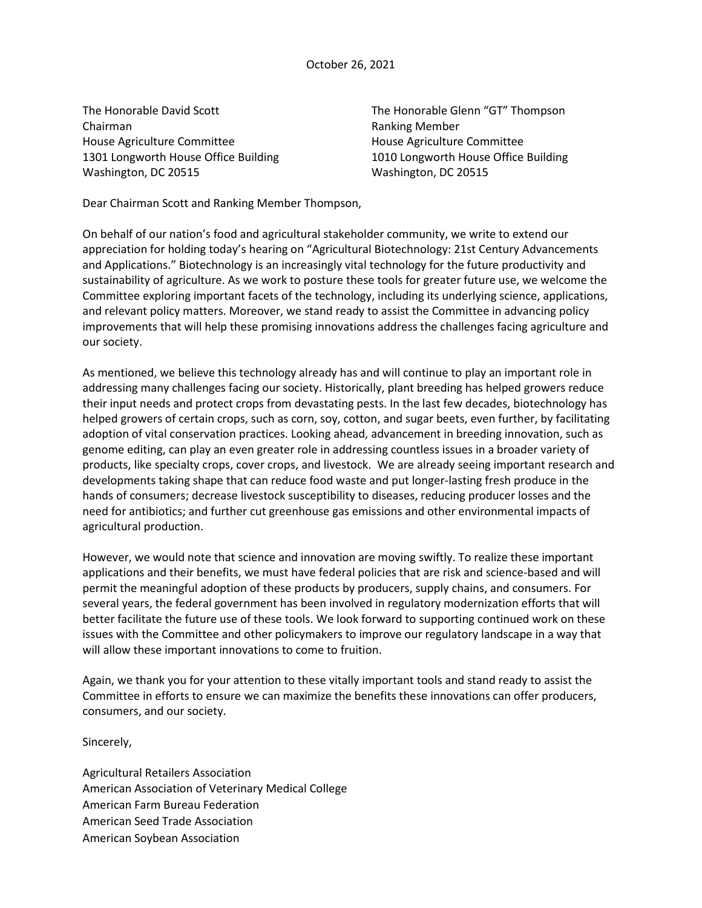The Honorable David Scott The Honorable Glenn "GT" Thompson Chairman Ranking Member House Agriculture Committee House Agriculture Committee 1301 Longworth House Office Building 1010 Longworth House Office Building Washington, DC 20515 Washington, DC 20515

Dear Chairman Scott and Ranking Member Thompson,

On behalf of our nation's food and agricultural stakeholder community, we write to extend our appreciation for holding today's hearing on "Agricultural Biotechnology: 21st Century Advancements and Applications." Biotechnology is an increasingly vital technology for the future productivity and sustainability of agriculture. As we work to posture these tools for greater future use, we welcome the Committee exploring important facets of the technology, including its underlying science, applications, and relevant policy matters. Moreover, we stand ready to assist the Committee in advancing policy improvements that will help these promising innovations address the challenges facing agriculture and our society.

As mentioned, we believe this technology already has and will continue to play an important role in addressing many challenges facing our society. Historically, plant breeding has helped growers reduce their input needs and protect crops from devastating pests. In the last few decades, biotechnology has helped growers of certain crops, such as corn, soy, cotton, and sugar beets, even further, by facilitating adoption of vital conservation practices. Looking ahead, advancement in breeding innovation, such as genome editing, can play an even greater role in addressing countless issues in a broader variety of products, like specialty crops, cover crops, and livestock. We are already seeing important research and developments taking shape that can reduce food waste and put longer-lasting fresh produce in the hands of consumers; decrease livestock susceptibility to diseases, reducing producer losses and the need for antibiotics; and further cut greenhouse gas emissions and other environmental impacts of agricultural production.

However, we would note that science and innovation are moving swiftly. To realize these important applications and their benefits, we must have federal policies that are risk and science-based and will permit the meaningful adoption of these products by producers, supply chains, and consumers. For several years, the federal government has been involved in regulatory modernization efforts that will better facilitate the future use of these tools. We look forward to supporting continued work on these issues with the Committee and other policymakers to improve our regulatory landscape in a way that will allow these important innovations to come to fruition.

Again, we thank you for your attention to these vitally important tools and stand ready to assist the Committee in efforts to ensure we can maximize the benefits these innovations can offer producers, consumers, and our society.

Sincerely,

Agricultural Retailers Association American Association of Veterinary Medical College American Farm Bureau Federation American Seed Trade Association American Soybean Association